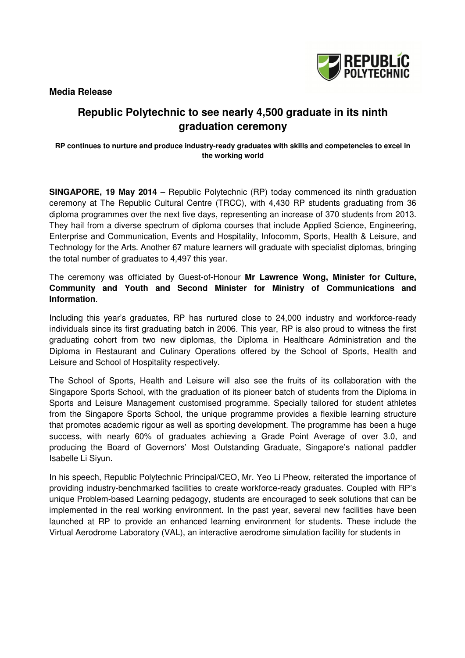**Media Release** 



# **Republic Polytechnic to see nearly 4,500 graduate in its ninth graduation ceremony**

**RP continues to nurture and produce industry-ready graduates with skills and competencies to excel in the working world** 

**SINGAPORE, 19 May 2014** – Republic Polytechnic (RP) today commenced its ninth graduation ceremony at The Republic Cultural Centre (TRCC), with 4,430 RP students graduating from 36 diploma programmes over the next five days, representing an increase of 370 students from 2013. They hail from a diverse spectrum of diploma courses that include Applied Science, Engineering, Enterprise and Communication, Events and Hospitality, Infocomm, Sports, Health & Leisure, and Technology for the Arts. Another 67 mature learners will graduate with specialist diplomas, bringing the total number of graduates to 4,497 this year.

The ceremony was officiated by Guest-of-Honour **Mr Lawrence Wong, Minister for Culture, Community and Youth and Second Minister for Ministry of Communications and Information**.

Including this year's graduates, RP has nurtured close to 24,000 industry and workforce-ready individuals since its first graduating batch in 2006. This year, RP is also proud to witness the first graduating cohort from two new diplomas, the Diploma in Healthcare Administration and the Diploma in Restaurant and Culinary Operations offered by the School of Sports, Health and Leisure and School of Hospitality respectively.

The School of Sports, Health and Leisure will also see the fruits of its collaboration with the Singapore Sports School, with the graduation of its pioneer batch of students from the Diploma in Sports and Leisure Management customised programme. Specially tailored for student athletes from the Singapore Sports School, the unique programme provides a flexible learning structure that promotes academic rigour as well as sporting development. The programme has been a huge success, with nearly 60% of graduates achieving a Grade Point Average of over 3.0, and producing the Board of Governors' Most Outstanding Graduate, Singapore's national paddler Isabelle Li Siyun.

In his speech, Republic Polytechnic Principal/CEO, Mr. Yeo Li Pheow, reiterated the importance of providing industry-benchmarked facilities to create workforce-ready graduates. Coupled with RP's unique Problem-based Learning pedagogy, students are encouraged to seek solutions that can be implemented in the real working environment. In the past year, several new facilities have been launched at RP to provide an enhanced learning environment for students. These include the Virtual Aerodrome Laboratory (VAL), an interactive aerodrome simulation facility for students in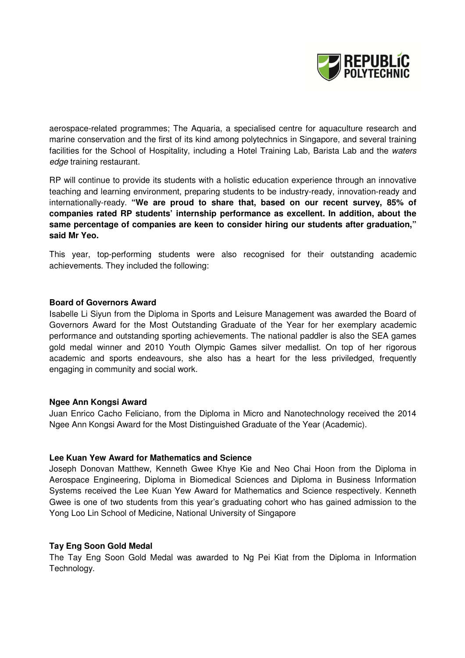

aerospace-related programmes; The Aquaria, a specialised centre for aquaculture research and marine conservation and the first of its kind among polytechnics in Singapore, and several training facilities for the School of Hospitality, including a Hotel Training Lab, Barista Lab and the waters edge training restaurant.

RP will continue to provide its students with a holistic education experience through an innovative teaching and learning environment, preparing students to be industry-ready, innovation-ready and internationally-ready. **"We are proud to share that, based on our recent survey, 85% of companies rated RP students' internship performance as excellent. In addition, about the same percentage of companies are keen to consider hiring our students after graduation," said Mr Yeo.** 

This year, top-performing students were also recognised for their outstanding academic achievements. They included the following:

## **Board of Governors Award**

Isabelle Li Siyun from the Diploma in Sports and Leisure Management was awarded the Board of Governors Award for the Most Outstanding Graduate of the Year for her exemplary academic performance and outstanding sporting achievements. The national paddler is also the SEA games gold medal winner and 2010 Youth Olympic Games silver medallist. On top of her rigorous academic and sports endeavours, she also has a heart for the less priviledged, frequently engaging in community and social work.

## **Ngee Ann Kongsi Award**

Juan Enrico Cacho Feliciano, from the Diploma in Micro and Nanotechnology received the 2014 Ngee Ann Kongsi Award for the Most Distinguished Graduate of the Year (Academic).

## **Lee Kuan Yew Award for Mathematics and Science**

Joseph Donovan Matthew, Kenneth Gwee Khye Kie and Neo Chai Hoon from the Diploma in Aerospace Engineering, Diploma in Biomedical Sciences and Diploma in Business Information Systems received the Lee Kuan Yew Award for Mathematics and Science respectively. Kenneth Gwee is one of two students from this year's graduating cohort who has gained admission to the Yong Loo Lin School of Medicine, National University of Singapore

## **Tay Eng Soon Gold Medal**

The Tay Eng Soon Gold Medal was awarded to Ng Pei Kiat from the Diploma in Information Technology.